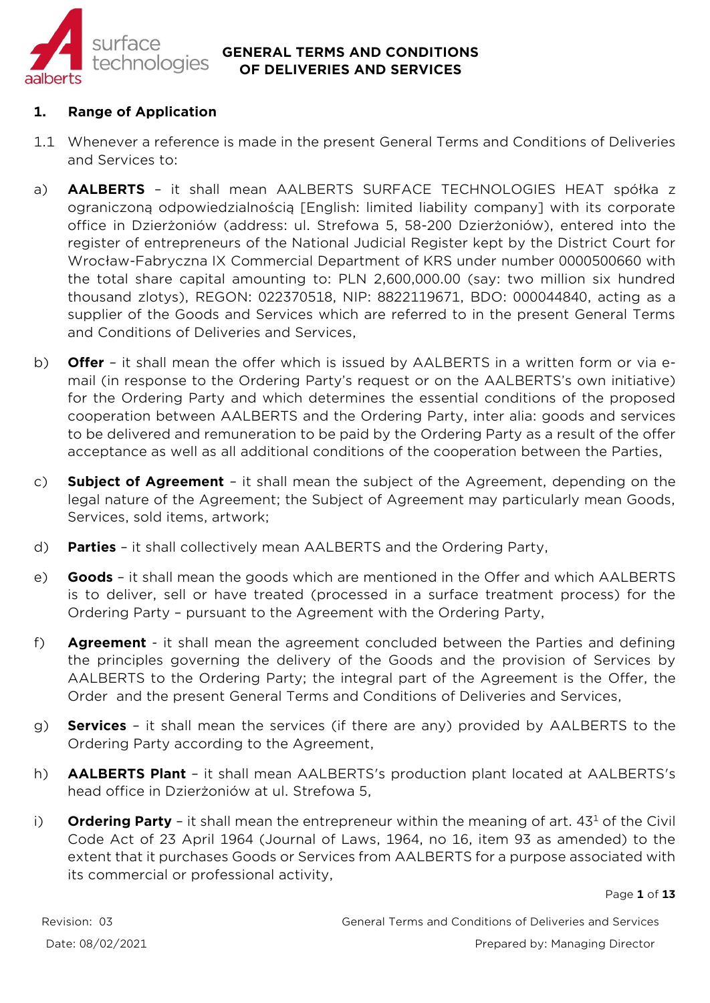

# **1. Range of Application**

- 1.1 Whenever a reference is made in the present General Terms and Conditions of Deliveries and Services to:
- a) **AALBERTS** it shall mean AALBERTS SURFACE TECHNOLOGIES HEAT spółka z ograniczoną odpowiedzialnością [English: limited liability company] with its corporate office in Dzierżoniów (address: ul. Strefowa 5, 58-200 Dzierżoniów), entered into the register of entrepreneurs of the National Judicial Register kept by the District Court for Wrocław-Fabryczna IX Commercial Department of KRS under number 0000500660 with the total share capital amounting to: PLN 2,600,000.00 (say: two million six hundred thousand zlotys), REGON: 022370518, NIP: 8822119671, BDO: 000044840, acting as a supplier of the Goods and Services which are referred to in the present General Terms and Conditions of Deliveries and Services,
- b) **Offer** it shall mean the offer which is issued by AALBERTS in a written form or via email (in response to the Ordering Party's request or on the AALBERTS's own initiative) for the Ordering Party and which determines the essential conditions of the proposed cooperation between AALBERTS and the Ordering Party, inter alia: goods and services to be delivered and remuneration to be paid by the Ordering Party as a result of the offer acceptance as well as all additional conditions of the cooperation between the Parties,
- c) **Subject of Agreement** it shall mean the subject of the Agreement, depending on the legal nature of the Agreement; the Subject of Agreement may particularly mean Goods, Services, sold items, artwork;
- d) **Parties**  it shall collectively mean AALBERTS and the Ordering Party,
- e) **Goods**  it shall mean the goods which are mentioned in the Offer and which AALBERTS is to deliver, sell or have treated (processed in a surface treatment process) for the Ordering Party – pursuant to the Agreement with the Ordering Party,
- f) **Agreement**  it shall mean the agreement concluded between the Parties and defining the principles governing the delivery of the Goods and the provision of Services by AALBERTS to the Ordering Party; the integral part of the Agreement is the Offer, the Order and the present General Terms and Conditions of Deliveries and Services,
- g) **Services**  it shall mean the services (if there are any) provided by AALBERTS to the Ordering Party according to the Agreement,
- h) **AALBERTS Plant** it shall mean AALBERTS's production plant located at AALBERTS's head office in Dzierżoniów at ul. Strefowa 5,
- i) **Ordering Party** it shall mean the entrepreneur within the meaning of art. 43<sup>1</sup> of the Civil Code Act of 23 April 1964 (Journal of Laws, 1964, no 16, item 93 as amended) to the extent that it purchases Goods or Services from AALBERTS for a purpose associated with its commercial or professional activity,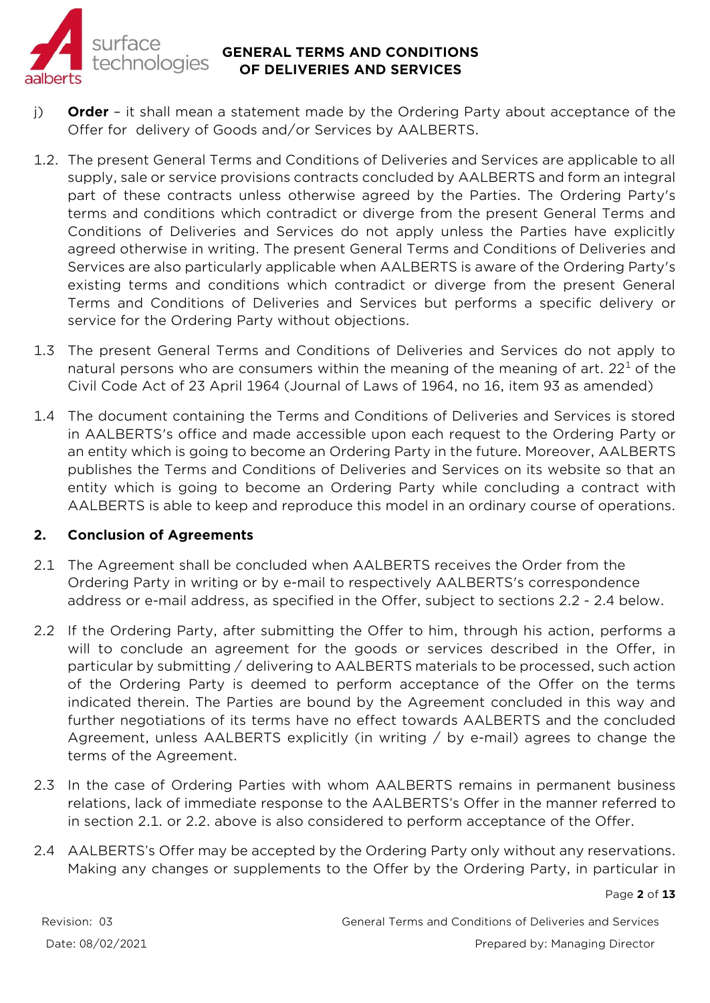

- j) **Order**  it shall mean a statement made by the Ordering Party about acceptance of the Offer for delivery of Goods and/or Services by AALBERTS.
- 1.2. The present General Terms and Conditions of Deliveries and Services are applicable to all supply, sale or service provisions contracts concluded by AALBERTS and form an integral part of these contracts unless otherwise agreed by the Parties. The Ordering Party's terms and conditions which contradict or diverge from the present General Terms and Conditions of Deliveries and Services do not apply unless the Parties have explicitly agreed otherwise in writing. The present General Terms and Conditions of Deliveries and Services are also particularly applicable when AALBERTS is aware of the Ordering Party's existing terms and conditions which contradict or diverge from the present General Terms and Conditions of Deliveries and Services but performs a specific delivery or service for the Ordering Party without objections.
- 1.3 The present General Terms and Conditions of Deliveries and Services do not apply to natural persons who are consumers within the meaning of the meaning of art.  $22<sup>1</sup>$  of the Civil Code Act of 23 April 1964 (Journal of Laws of 1964, no 16, item 93 as amended)
- 1.4 The document containing the Terms and Conditions of Deliveries and Services is stored in AALBERTS's office and made accessible upon each request to the Ordering Party or an entity which is going to become an Ordering Party in the future. Moreover, AALBERTS publishes the Terms and Conditions of Deliveries and Services on its website so that an entity which is going to become an Ordering Party while concluding a contract with AALBERTS is able to keep and reproduce this model in an ordinary course of operations.

#### **2. Conclusion of Agreements**

- 2.1 The Agreement shall be concluded when AALBERTS receives the Order from the Ordering Party in writing or by e-mail to respectively AALBERTS's correspondence address or e-mail address, as specified in the Offer, subject to sections 2.2 - 2.4 below.
- 2.2 If the Ordering Party, after submitting the Offer to him, through his action, performs a will to conclude an agreement for the goods or services described in the Offer, in particular by submitting / delivering to AALBERTS materials to be processed, such action of the Ordering Party is deemed to perform acceptance of the Offer on the terms indicated therein. The Parties are bound by the Agreement concluded in this way and further negotiations of its terms have no effect towards AALBERTS and the concluded Agreement, unless AALBERTS explicitly (in writing / by e-mail) agrees to change the terms of the Agreement.
- 2.3 In the case of Ordering Parties with whom AALBERTS remains in permanent business relations, lack of immediate response to the AALBERTS's Offer in the manner referred to in section 2.1. or 2.2. above is also considered to perform acceptance of the Offer.
- 2.4 AALBERTS's Offer may be accepted by the Ordering Party only without any reservations. Making any changes or supplements to the Offer by the Ordering Party, in particular in

Page **2** of **13**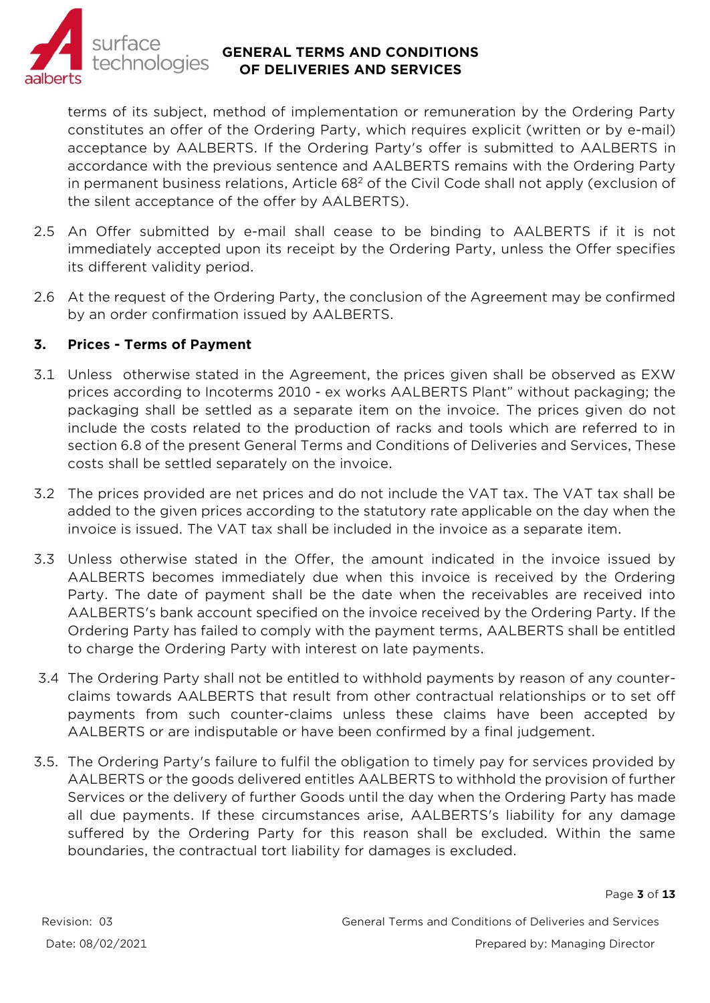

terms of its subject, method of implementation or remuneration by the Ordering Party constitutes an offer of the Ordering Party, which requires explicit (written or by e-mail) acceptance by AALBERTS. If the Ordering Party's offer is submitted to AALBERTS in accordance with the previous sentence and AALBERTS remains with the Ordering Party in permanent business relations, Article  $68<sup>2</sup>$  of the Civil Code shall not apply (exclusion of the silent acceptance of the offer by AALBERTS).

- 2.5 An Offer submitted by e-mail shall cease to be binding to AALBERTS if it is not immediately accepted upon its receipt by the Ordering Party, unless the Offer specifies its different validity period.
- 2.6 At the request of the Ordering Party, the conclusion of the Agreement may be confirmed by an order confirmation issued by AALBERTS.

## **3. Prices - Terms of Payment**

- 3.1 Unless otherwise stated in the Agreement, the prices given shall be observed as EXW prices according to Incoterms 2010 - ex works AALBERTS Plant" without packaging; the packaging shall be settled as a separate item on the invoice. The prices given do not include the costs related to the production of racks and tools which are referred to in section 6.8 of the present General Terms and Conditions of Deliveries and Services, These costs shall be settled separately on the invoice.
- 3.2 The prices provided are net prices and do not include the VAT tax. The VAT tax shall be added to the given prices according to the statutory rate applicable on the day when the invoice is issued. The VAT tax shall be included in the invoice as a separate item.
- 3.3 Unless otherwise stated in the Offer, the amount indicated in the invoice issued by AALBERTS becomes immediately due when this invoice is received by the Ordering Party. The date of payment shall be the date when the receivables are received into AALBERTS's bank account specified on the invoice received by the Ordering Party. If the Ordering Party has failed to comply with the payment terms, AALBERTS shall be entitled to charge the Ordering Party with interest on late payments.
- 3.4 The Ordering Party shall not be entitled to withhold payments by reason of any counterclaims towards AALBERTS that result from other contractual relationships or to set off payments from such counter-claims unless these claims have been accepted by AALBERTS or are indisputable or have been confirmed by a final judgement.
- 3.5. The Ordering Party's failure to fulfil the obligation to timely pay for services provided by AALBERTS or the goods delivered entitles AALBERTS to withhold the provision of further Services or the delivery of further Goods until the day when the Ordering Party has made all due payments. If these circumstances arise, AALBERTS's liability for any damage suffered by the Ordering Party for this reason shall be excluded. Within the same boundaries, the contractual tort liability for damages is excluded.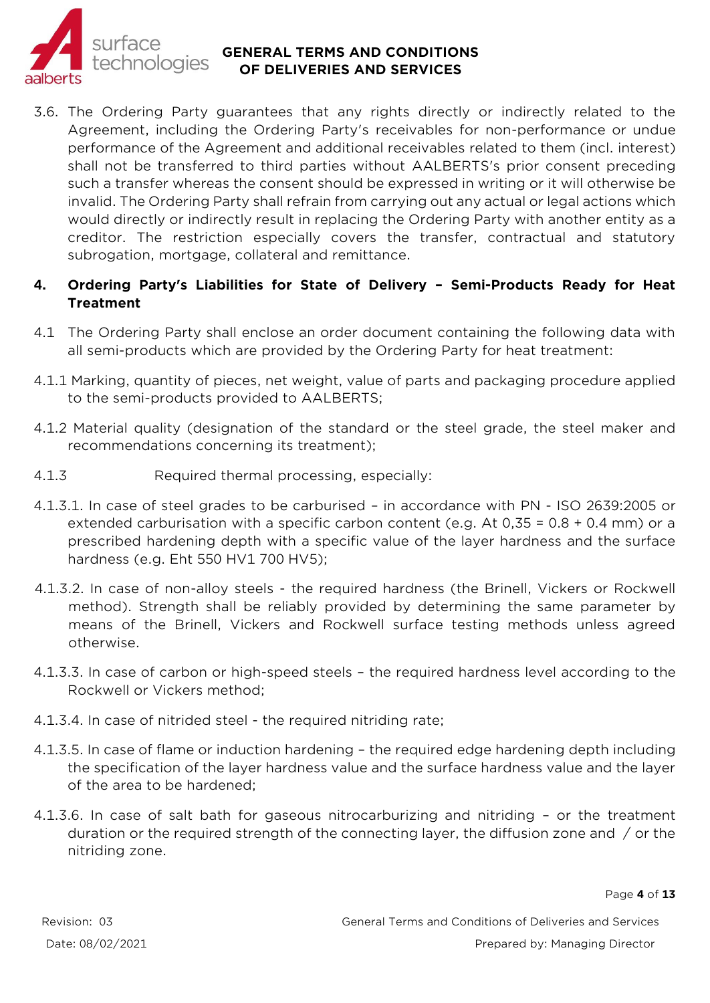

3.6. The Ordering Party guarantees that any rights directly or indirectly related to the Agreement, including the Ordering Party's receivables for non-performance or undue performance of the Agreement and additional receivables related to them (incl. interest) shall not be transferred to third parties without AALBERTS's prior consent preceding such a transfer whereas the consent should be expressed in writing or it will otherwise be invalid. The Ordering Party shall refrain from carrying out any actual or legal actions which would directly or indirectly result in replacing the Ordering Party with another entity as a creditor. The restriction especially covers the transfer, contractual and statutory subrogation, mortgage, collateral and remittance.

## **4. Ordering Party's Liabilities for State of Delivery – Semi-Products Ready for Heat Treatment**

- 4.1 The Ordering Party shall enclose an order document containing the following data with all semi-products which are provided by the Ordering Party for heat treatment:
- 4.1.1 Marking, quantity of pieces, net weight, value of parts and packaging procedure applied to the semi-products provided to AALBERTS;
- 4.1.2 Material quality (designation of the standard or the steel grade, the steel maker and recommendations concerning its treatment);
- 4.1.3 Required thermal processing, especially:
- 4.1.3.1. In case of steel grades to be carburised in accordance with PN ISO 2639:2005 or extended carburisation with a specific carbon content (e.g. At 0,35 = 0.8 + 0.4 mm) or a prescribed hardening depth with a specific value of the layer hardness and the surface hardness (e.g. Eht 550 HV1 700 HV5);
- 4.1.3.2. In case of non-alloy steels the required hardness (the Brinell, Vickers or Rockwell method). Strength shall be reliably provided by determining the same parameter by means of the Brinell, Vickers and Rockwell surface testing methods unless agreed otherwise.
- 4.1.3.3. In case of carbon or high-speed steels the required hardness level according to the Rockwell or Vickers method;
- 4.1.3.4. In case of nitrided steel the required nitriding rate;
- 4.1.3.5. In case of flame or induction hardening the required edge hardening depth including the specification of the layer hardness value and the surface hardness value and the layer of the area to be hardened;
- 4.1.3.6. In case of salt bath for gaseous nitrocarburizing and nitriding or the treatment duration or the required strength of the connecting layer, the diffusion zone and / or the nitriding zone.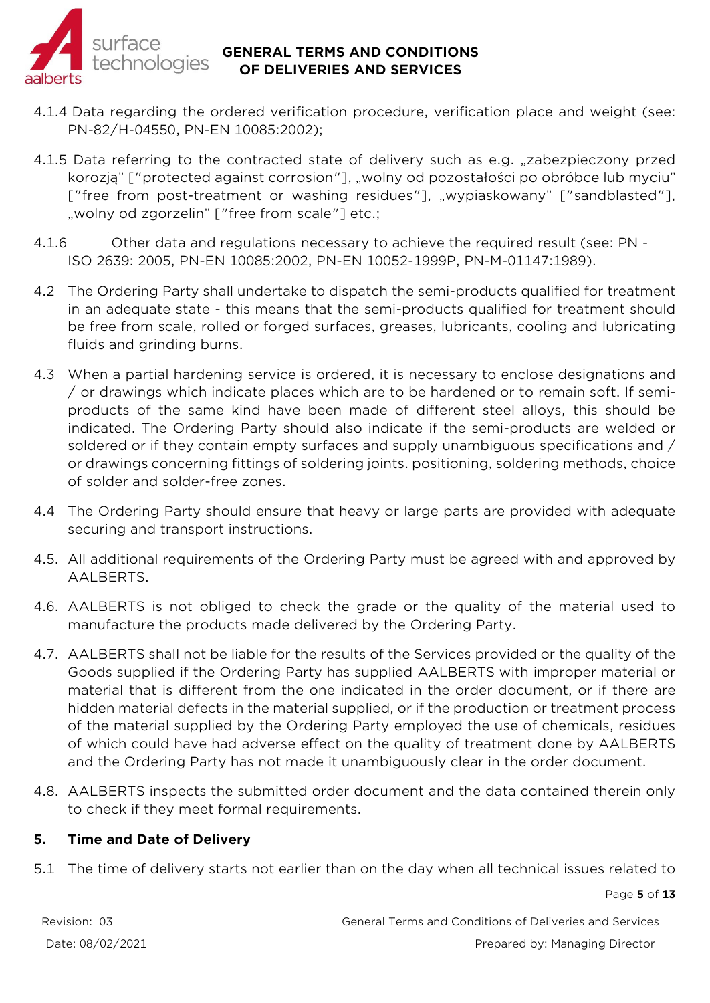

- 4.1.4 Data regarding the ordered verification procedure, verification place and weight (see: PN-82/H-04550, PN-EN 10085:2002);
- 4.1.5 Data referring to the contracted state of delivery such as e.g. "zabezpieczony przed korozją" ["protected against corrosion"], "wolny od pozostałości po obróbce lub myciu" ["free from post-treatment or washing residues"], "wypiaskowany" ["sandblasted"], "wolny od zgorzelin" ["free from scale"] etc.;
- 4.1.6 Other data and regulations necessary to achieve the required result (see: PN ISO 2639: 2005, PN-EN 10085:2002, PN-EN 10052-1999P, PN-M-01147:1989).
- 4.2 The Ordering Party shall undertake to dispatch the semi-products qualified for treatment in an adequate state - this means that the semi-products qualified for treatment should be free from scale, rolled or forged surfaces, greases, lubricants, cooling and lubricating fluids and grinding burns.
- 4.3 When a partial hardening service is ordered, it is necessary to enclose designations and / or drawings which indicate places which are to be hardened or to remain soft. If semiproducts of the same kind have been made of different steel alloys, this should be indicated. The Ordering Party should also indicate if the semi-products are welded or soldered or if they contain empty surfaces and supply unambiguous specifications and / or drawings concerning fittings of soldering joints. positioning, soldering methods, choice of solder and solder-free zones.
- 4.4 The Ordering Party should ensure that heavy or large parts are provided with adequate securing and transport instructions.
- 4.5. All additional requirements of the Ordering Party must be agreed with and approved by AALBERTS.
- 4.6. AALBERTS is not obliged to check the grade or the quality of the material used to manufacture the products made delivered by the Ordering Party.
- 4.7. AALBERTS shall not be liable for the results of the Services provided or the quality of the Goods supplied if the Ordering Party has supplied AALBERTS with improper material or material that is different from the one indicated in the order document, or if there are hidden material defects in the material supplied, or if the production or treatment process of the material supplied by the Ordering Party employed the use of chemicals, residues of which could have had adverse effect on the quality of treatment done by AALBERTS and the Ordering Party has not made it unambiguously clear in the order document.
- 4.8. AALBERTS inspects the submitted order document and the data contained therein only to check if they meet formal requirements.

## **5. Time and Date of Delivery**

5.1 The time of delivery starts not earlier than on the day when all technical issues related to

Page **5** of **13**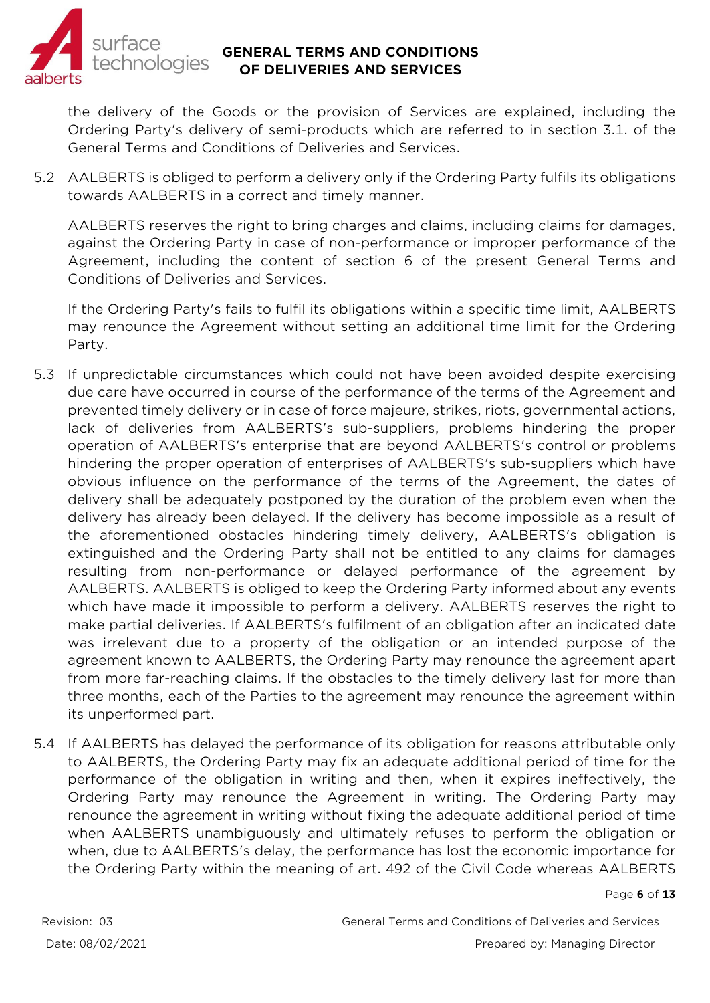

the delivery of the Goods or the provision of Services are explained, including the Ordering Party's delivery of semi-products which are referred to in section 3.1. of the General Terms and Conditions of Deliveries and Services.

5.2 AALBERTS is obliged to perform a delivery only if the Ordering Party fulfils its obligations towards AALBERTS in a correct and timely manner.

AALBERTS reserves the right to bring charges and claims, including claims for damages, against the Ordering Party in case of non-performance or improper performance of the Agreement, including the content of section 6 of the present General Terms and Conditions of Deliveries and Services.

If the Ordering Party's fails to fulfil its obligations within a specific time limit, AALBERTS may renounce the Agreement without setting an additional time limit for the Ordering Party.

- 5.3 If unpredictable circumstances which could not have been avoided despite exercising due care have occurred in course of the performance of the terms of the Agreement and prevented timely delivery or in case of force majeure, strikes, riots, governmental actions, lack of deliveries from AALBERTS's sub-suppliers, problems hindering the proper operation of AALBERTS's enterprise that are beyond AALBERTS's control or problems hindering the proper operation of enterprises of AALBERTS's sub-suppliers which have obvious influence on the performance of the terms of the Agreement, the dates of delivery shall be adequately postponed by the duration of the problem even when the delivery has already been delayed. If the delivery has become impossible as a result of the aforementioned obstacles hindering timely delivery, AALBERTS's obligation is extinguished and the Ordering Party shall not be entitled to any claims for damages resulting from non-performance or delayed performance of the agreement by AALBERTS. AALBERTS is obliged to keep the Ordering Party informed about any events which have made it impossible to perform a delivery. AALBERTS reserves the right to make partial deliveries. If AALBERTS's fulfilment of an obligation after an indicated date was irrelevant due to a property of the obligation or an intended purpose of the agreement known to AALBERTS, the Ordering Party may renounce the agreement apart from more far-reaching claims. If the obstacles to the timely delivery last for more than three months, each of the Parties to the agreement may renounce the agreement within its unperformed part.
- 5.4 If AALBERTS has delayed the performance of its obligation for reasons attributable only to AALBERTS, the Ordering Party may fix an adequate additional period of time for the performance of the obligation in writing and then, when it expires ineffectively, the Ordering Party may renounce the Agreement in writing. The Ordering Party may renounce the agreement in writing without fixing the adequate additional period of time when AALBERTS unambiguously and ultimately refuses to perform the obligation or when, due to AALBERTS's delay, the performance has lost the economic importance for the Ordering Party within the meaning of art. 492 of the Civil Code whereas AALBERTS

#### Page **6** of **13**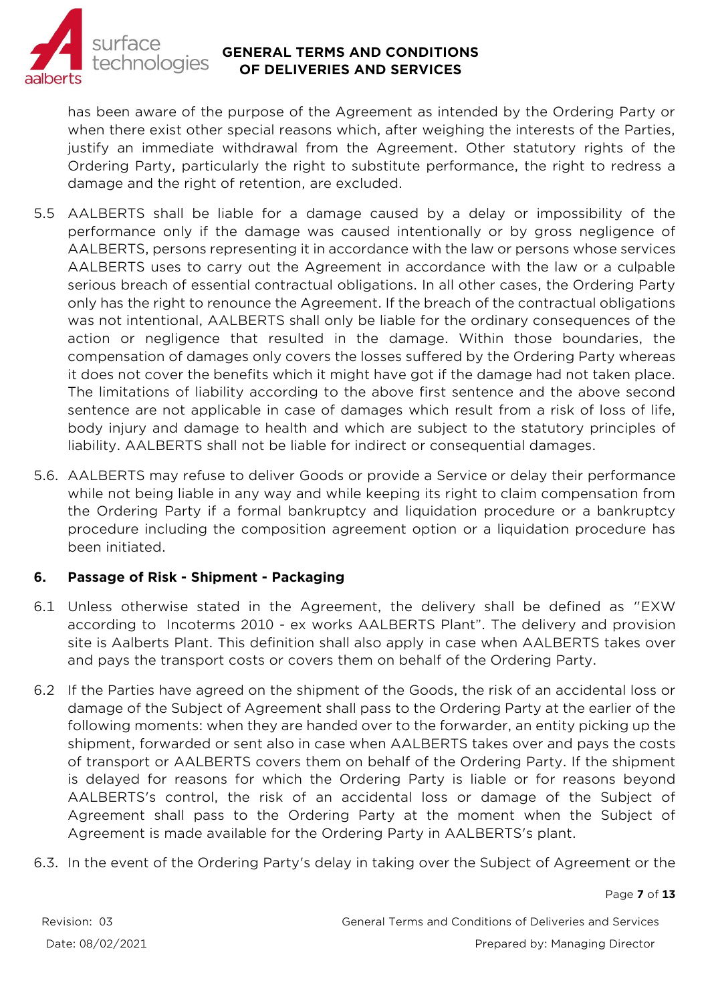

has been aware of the purpose of the Agreement as intended by the Ordering Party or when there exist other special reasons which, after weighing the interests of the Parties, justify an immediate withdrawal from the Agreement. Other statutory rights of the Ordering Party, particularly the right to substitute performance, the right to redress a damage and the right of retention, are excluded.

- 5.5 AALBERTS shall be liable for a damage caused by a delay or impossibility of the performance only if the damage was caused intentionally or by gross negligence of AALBERTS, persons representing it in accordance with the law or persons whose services AALBERTS uses to carry out the Agreement in accordance with the law or a culpable serious breach of essential contractual obligations. In all other cases, the Ordering Party only has the right to renounce the Agreement. If the breach of the contractual obligations was not intentional, AALBERTS shall only be liable for the ordinary consequences of the action or negligence that resulted in the damage. Within those boundaries, the compensation of damages only covers the losses suffered by the Ordering Party whereas it does not cover the benefits which it might have got if the damage had not taken place. The limitations of liability according to the above first sentence and the above second sentence are not applicable in case of damages which result from a risk of loss of life, body injury and damage to health and which are subject to the statutory principles of liability. AALBERTS shall not be liable for indirect or consequential damages.
- 5.6. AALBERTS may refuse to deliver Goods or provide a Service or delay their performance while not being liable in any way and while keeping its right to claim compensation from the Ordering Party if a formal bankruptcy and liquidation procedure or a bankruptcy procedure including the composition agreement option or a liquidation procedure has been initiated.

## **6. Passage of Risk - Shipment - Packaging**

- 6.1 Unless otherwise stated in the Agreement, the delivery shall be defined as "EXW according to Incoterms 2010 - ex works AALBERTS Plant". The delivery and provision site is Aalberts Plant. This definition shall also apply in case when AALBERTS takes over and pays the transport costs or covers them on behalf of the Ordering Party.
- 6.2 If the Parties have agreed on the shipment of the Goods, the risk of an accidental loss or damage of the Subject of Agreement shall pass to the Ordering Party at the earlier of the following moments: when they are handed over to the forwarder, an entity picking up the shipment, forwarded or sent also in case when AALBERTS takes over and pays the costs of transport or AALBERTS covers them on behalf of the Ordering Party. If the shipment is delayed for reasons for which the Ordering Party is liable or for reasons beyond AALBERTS's control, the risk of an accidental loss or damage of the Subject of Agreement shall pass to the Ordering Party at the moment when the Subject of Agreement is made available for the Ordering Party in AALBERTS's plant.
- 6.3. In the event of the Ordering Party's delay in taking over the Subject of Agreement or the

#### Page **7** of **13**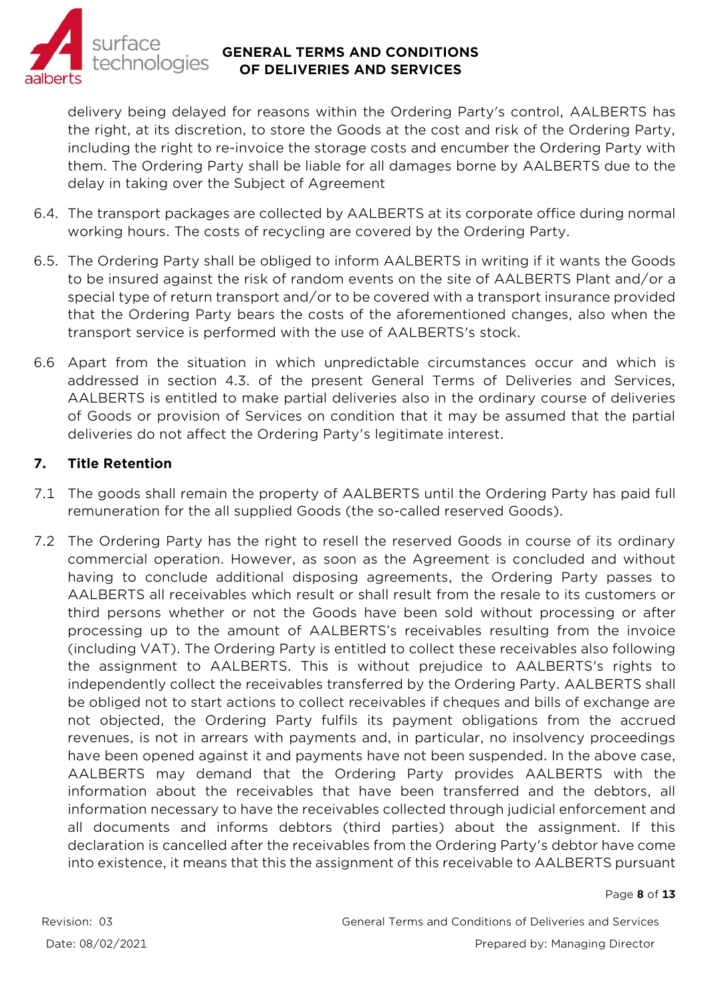

delivery being delayed for reasons within the Ordering Party's control, AALBERTS has the right, at its discretion, to store the Goods at the cost and risk of the Ordering Party, including the right to re-invoice the storage costs and encumber the Ordering Party with them. The Ordering Party shall be liable for all damages borne by AALBERTS due to the delay in taking over the Subject of Agreement

- 6.4. The transport packages are collected by AALBERTS at its corporate office during normal working hours. The costs of recycling are covered by the Ordering Party.
- 6.5. The Ordering Party shall be obliged to inform AALBERTS in writing if it wants the Goods to be insured against the risk of random events on the site of AALBERTS Plant and/or a special type of return transport and/or to be covered with a transport insurance provided that the Ordering Party bears the costs of the aforementioned changes, also when the transport service is performed with the use of AALBERTS's stock.
- 6.6 Apart from the situation in which unpredictable circumstances occur and which is addressed in section 4.3. of the present General Terms of Deliveries and Services, AALBERTS is entitled to make partial deliveries also in the ordinary course of deliveries of Goods or provision of Services on condition that it may be assumed that the partial deliveries do not affect the Ordering Party's legitimate interest.

## **7. Title Retention**

- 7.1 The goods shall remain the property of AALBERTS until the Ordering Party has paid full remuneration for the all supplied Goods (the so-called reserved Goods).
- 7.2 The Ordering Party has the right to resell the reserved Goods in course of its ordinary commercial operation. However, as soon as the Agreement is concluded and without having to conclude additional disposing agreements, the Ordering Party passes to AALBERTS all receivables which result or shall result from the resale to its customers or third persons whether or not the Goods have been sold without processing or after processing up to the amount of AALBERTS's receivables resulting from the invoice (including VAT). The Ordering Party is entitled to collect these receivables also following the assignment to AALBERTS. This is without prejudice to AALBERTS's rights to independently collect the receivables transferred by the Ordering Party. AALBERTS shall be obliged not to start actions to collect receivables if cheques and bills of exchange are not objected, the Ordering Party fulfils its payment obligations from the accrued revenues, is not in arrears with payments and, in particular, no insolvency proceedings have been opened against it and payments have not been suspended. In the above case, AALBERTS may demand that the Ordering Party provides AALBERTS with the information about the receivables that have been transferred and the debtors, all information necessary to have the receivables collected through judicial enforcement and all documents and informs debtors (third parties) about the assignment. If this declaration is cancelled after the receivables from the Ordering Party's debtor have come into existence, it means that this the assignment of this receivable to AALBERTS pursuant

#### Page **8** of **13**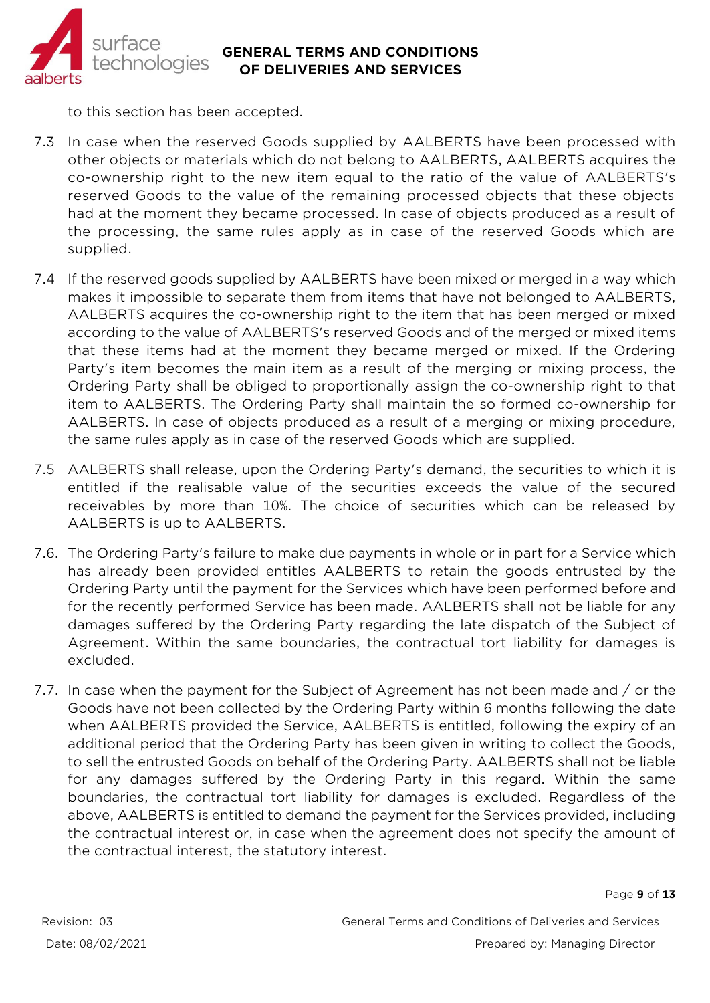

to this section has been accepted.

- 7.3 In case when the reserved Goods supplied by AALBERTS have been processed with other objects or materials which do not belong to AALBERTS, AALBERTS acquires the co-ownership right to the new item equal to the ratio of the value of AALBERTS's reserved Goods to the value of the remaining processed objects that these objects had at the moment they became processed. In case of objects produced as a result of the processing, the same rules apply as in case of the reserved Goods which are supplied.
- 7.4 If the reserved goods supplied by AALBERTS have been mixed or merged in a way which makes it impossible to separate them from items that have not belonged to AALBERTS, AALBERTS acquires the co-ownership right to the item that has been merged or mixed according to the value of AALBERTS's reserved Goods and of the merged or mixed items that these items had at the moment they became merged or mixed. If the Ordering Party's item becomes the main item as a result of the merging or mixing process, the Ordering Party shall be obliged to proportionally assign the co-ownership right to that item to AALBERTS. The Ordering Party shall maintain the so formed co-ownership for AALBERTS. In case of objects produced as a result of a merging or mixing procedure, the same rules apply as in case of the reserved Goods which are supplied.
- 7.5 AALBERTS shall release, upon the Ordering Party's demand, the securities to which it is entitled if the realisable value of the securities exceeds the value of the secured receivables by more than 10%. The choice of securities which can be released by AALBERTS is up to AALBERTS.
- 7.6. The Ordering Party's failure to make due payments in whole or in part for a Service which has already been provided entitles AALBERTS to retain the goods entrusted by the Ordering Party until the payment for the Services which have been performed before and for the recently performed Service has been made. AALBERTS shall not be liable for any damages suffered by the Ordering Party regarding the late dispatch of the Subject of Agreement. Within the same boundaries, the contractual tort liability for damages is excluded.
- 7.7. In case when the payment for the Subject of Agreement has not been made and / or the Goods have not been collected by the Ordering Party within 6 months following the date when AALBERTS provided the Service, AALBERTS is entitled, following the expiry of an additional period that the Ordering Party has been given in writing to collect the Goods, to sell the entrusted Goods on behalf of the Ordering Party. AALBERTS shall not be liable for any damages suffered by the Ordering Party in this regard. Within the same boundaries, the contractual tort liability for damages is excluded. Regardless of the above, AALBERTS is entitled to demand the payment for the Services provided, including the contractual interest or, in case when the agreement does not specify the amount of the contractual interest, the statutory interest.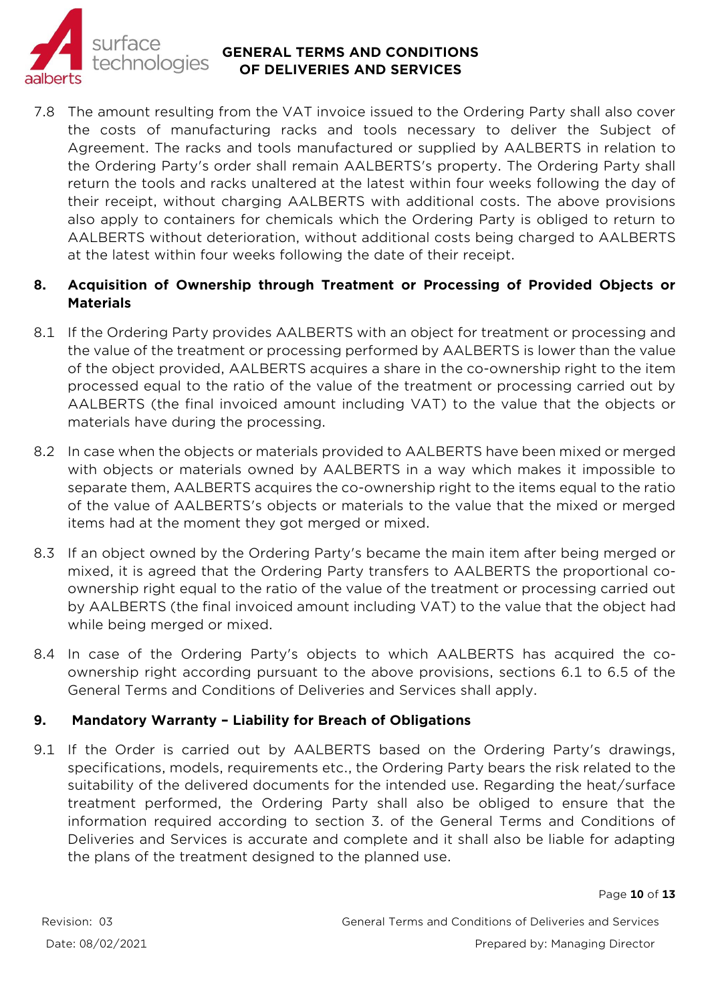

7.8 The amount resulting from the VAT invoice issued to the Ordering Party shall also cover the costs of manufacturing racks and tools necessary to deliver the Subject of Agreement. The racks and tools manufactured or supplied by AALBERTS in relation to the Ordering Party's order shall remain AALBERTS's property. The Ordering Party shall return the tools and racks unaltered at the latest within four weeks following the day of their receipt, without charging AALBERTS with additional costs. The above provisions also apply to containers for chemicals which the Ordering Party is obliged to return to AALBERTS without deterioration, without additional costs being charged to AALBERTS at the latest within four weeks following the date of their receipt.

## **8. Acquisition of Ownership through Treatment or Processing of Provided Objects or Materials**

- 8.1 If the Ordering Party provides AALBERTS with an object for treatment or processing and the value of the treatment or processing performed by AALBERTS is lower than the value of the object provided, AALBERTS acquires a share in the co-ownership right to the item processed equal to the ratio of the value of the treatment or processing carried out by AALBERTS (the final invoiced amount including VAT) to the value that the objects or materials have during the processing.
- 8.2 In case when the objects or materials provided to AALBERTS have been mixed or merged with objects or materials owned by AALBERTS in a way which makes it impossible to separate them, AALBERTS acquires the co-ownership right to the items equal to the ratio of the value of AALBERTS's objects or materials to the value that the mixed or merged items had at the moment they got merged or mixed.
- 8.3 If an object owned by the Ordering Party's became the main item after being merged or mixed, it is agreed that the Ordering Party transfers to AALBERTS the proportional coownership right equal to the ratio of the value of the treatment or processing carried out by AALBERTS (the final invoiced amount including VAT) to the value that the object had while being merged or mixed.
- 8.4 In case of the Ordering Party's objects to which AALBERTS has acquired the coownership right according pursuant to the above provisions, sections 6.1 to 6.5 of the General Terms and Conditions of Deliveries and Services shall apply.

## **9. Mandatory Warranty – Liability for Breach of Obligations**

9.1 If the Order is carried out by AALBERTS based on the Ordering Party's drawings, specifications, models, requirements etc., the Ordering Party bears the risk related to the suitability of the delivered documents for the intended use. Regarding the heat/surface treatment performed, the Ordering Party shall also be obliged to ensure that the information required according to section 3. of the General Terms and Conditions of Deliveries and Services is accurate and complete and it shall also be liable for adapting the plans of the treatment designed to the planned use.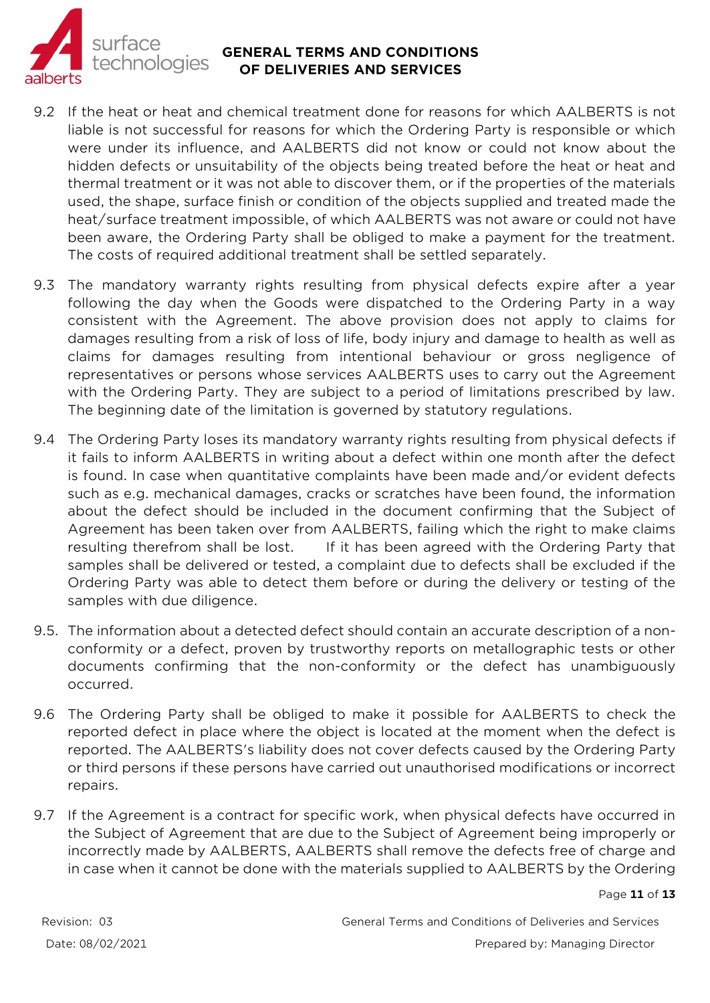

- 9.2 If the heat or heat and chemical treatment done for reasons for which AALBERTS is not liable is not successful for reasons for which the Ordering Party is responsible or which were under its influence, and AALBERTS did not know or could not know about the hidden defects or unsuitability of the objects being treated before the heat or heat and thermal treatment or it was not able to discover them, or if the properties of the materials used, the shape, surface finish or condition of the objects supplied and treated made the heat/surface treatment impossible, of which AALBERTS was not aware or could not have been aware, the Ordering Party shall be obliged to make a payment for the treatment. The costs of required additional treatment shall be settled separately.
- 9.3 The mandatory warranty rights resulting from physical defects expire after a year following the day when the Goods were dispatched to the Ordering Party in a way consistent with the Agreement. The above provision does not apply to claims for damages resulting from a risk of loss of life, body injury and damage to health as well as claims for damages resulting from intentional behaviour or gross negligence of representatives or persons whose services AALBERTS uses to carry out the Agreement with the Ordering Party. They are subject to a period of limitations prescribed by law. The beginning date of the limitation is governed by statutory regulations.
- 9.4 The Ordering Party loses its mandatory warranty rights resulting from physical defects if it fails to inform AALBERTS in writing about a defect within one month after the defect is found. In case when quantitative complaints have been made and/or evident defects such as e.g. mechanical damages, cracks or scratches have been found, the information about the defect should be included in the document confirming that the Subject of Agreement has been taken over from AALBERTS, failing which the right to make claims resulting therefrom shall be lost. If it has been agreed with the Ordering Party that samples shall be delivered or tested, a complaint due to defects shall be excluded if the Ordering Party was able to detect them before or during the delivery or testing of the samples with due diligence.
- 9.5. The information about a detected defect should contain an accurate description of a nonconformity or a defect, proven by trustworthy reports on metallographic tests or other documents confirming that the non-conformity or the defect has unambiguously occurred.
- 9.6 The Ordering Party shall be obliged to make it possible for AALBERTS to check the reported defect in place where the object is located at the moment when the defect is reported. The AALBERTS's liability does not cover defects caused by the Ordering Party or third persons if these persons have carried out unauthorised modifications or incorrect repairs.
- 9.7 If the Agreement is a contract for specific work, when physical defects have occurred in the Subject of Agreement that are due to the Subject of Agreement being improperly or incorrectly made by AALBERTS, AALBERTS shall remove the defects free of charge and in case when it cannot be done with the materials supplied to AALBERTS by the Ordering

#### Page **11** of **13**

Revision: 03 General Terms and Conditions of Deliveries and Services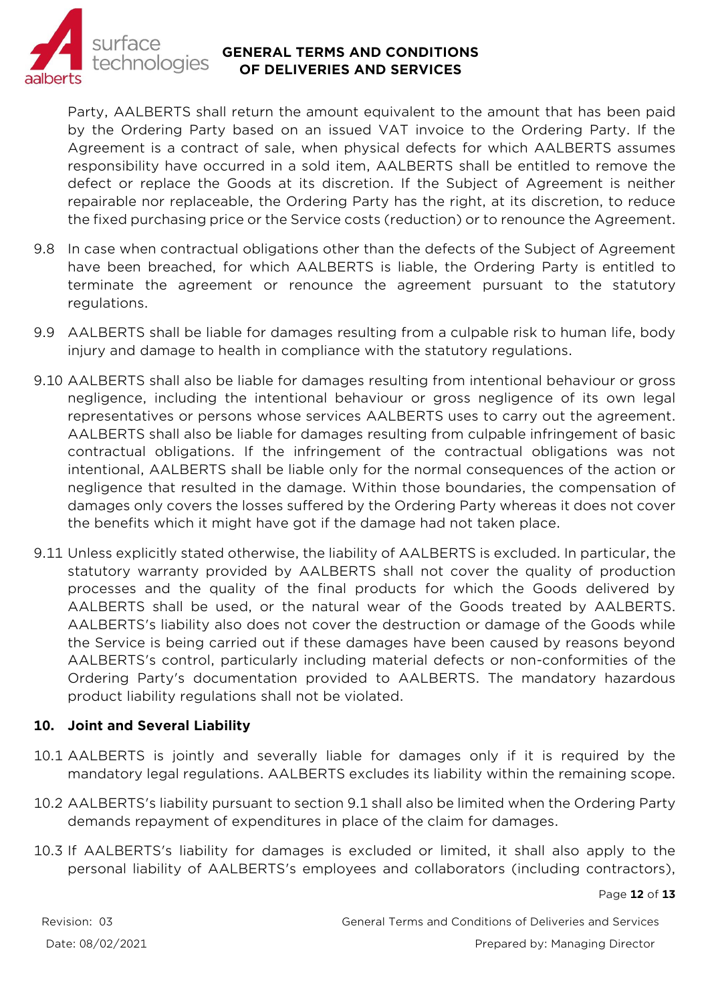

Party, AALBERTS shall return the amount equivalent to the amount that has been paid by the Ordering Party based on an issued VAT invoice to the Ordering Party. If the Agreement is a contract of sale, when physical defects for which AALBERTS assumes responsibility have occurred in a sold item, AALBERTS shall be entitled to remove the defect or replace the Goods at its discretion. If the Subject of Agreement is neither repairable nor replaceable, the Ordering Party has the right, at its discretion, to reduce the fixed purchasing price or the Service costs (reduction) or to renounce the Agreement.

- 9.8 In case when contractual obligations other than the defects of the Subject of Agreement have been breached, for which AALBERTS is liable, the Ordering Party is entitled to terminate the agreement or renounce the agreement pursuant to the statutory regulations.
- 9.9 AALBERTS shall be liable for damages resulting from a culpable risk to human life, body injury and damage to health in compliance with the statutory regulations.
- 9.10 AALBERTS shall also be liable for damages resulting from intentional behaviour or gross negligence, including the intentional behaviour or gross negligence of its own legal representatives or persons whose services AALBERTS uses to carry out the agreement. AALBERTS shall also be liable for damages resulting from culpable infringement of basic contractual obligations. If the infringement of the contractual obligations was not intentional, AALBERTS shall be liable only for the normal consequences of the action or negligence that resulted in the damage. Within those boundaries, the compensation of damages only covers the losses suffered by the Ordering Party whereas it does not cover the benefits which it might have got if the damage had not taken place.
- 9.11 Unless explicitly stated otherwise, the liability of AALBERTS is excluded. In particular, the statutory warranty provided by AALBERTS shall not cover the quality of production processes and the quality of the final products for which the Goods delivered by AALBERTS shall be used, or the natural wear of the Goods treated by AALBERTS. AALBERTS's liability also does not cover the destruction or damage of the Goods while the Service is being carried out if these damages have been caused by reasons beyond AALBERTS's control, particularly including material defects or non-conformities of the Ordering Party's documentation provided to AALBERTS. The mandatory hazardous product liability regulations shall not be violated.

#### **10. Joint and Several Liability**

- 10.1 AALBERTS is jointly and severally liable for damages only if it is required by the mandatory legal regulations. AALBERTS excludes its liability within the remaining scope.
- 10.2 AALBERTS's liability pursuant to section 9.1 shall also be limited when the Ordering Party demands repayment of expenditures in place of the claim for damages.
- 10.3 If AALBERTS's liability for damages is excluded or limited, it shall also apply to the personal liability of AALBERTS's employees and collaborators (including contractors),

Page **12** of **13**